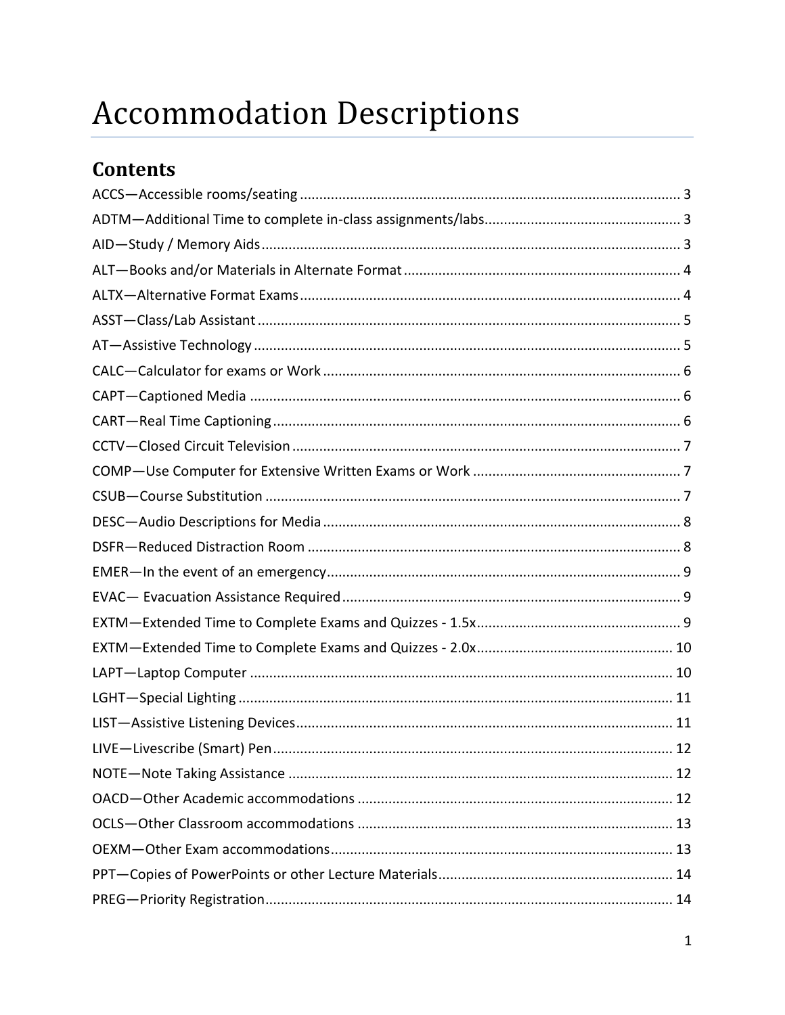# **Accommodation Descriptions**

# **Contents**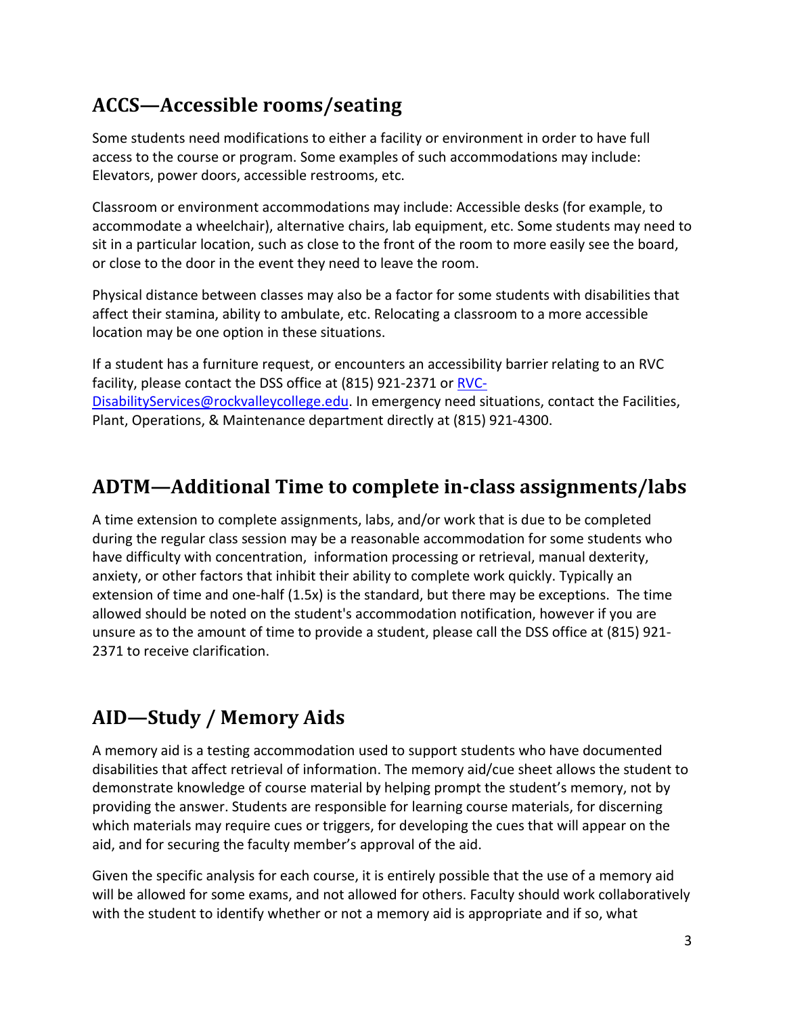# <span id="page-2-0"></span>**ACCS—Accessible rooms/seating**

Some students need modifications to either a facility or environment in order to have full access to the course or program. Some examples of such accommodations may include: Elevators, power doors, accessible restrooms, etc.

Classroom or environment accommodations may include: Accessible desks (for example, to accommodate a wheelchair), alternative chairs, lab equipment, etc. Some students may need to sit in a particular location, such as close to the front of the room to more easily see the board, or close to the door in the event they need to leave the room.

Physical distance between classes may also be a factor for some students with disabilities that affect their stamina, ability to ambulate, etc. Relocating a classroom to a more accessible location may be one option in these situations.

If a student has a furniture request, or encounters an accessibility barrier relating to an RVC facility, please contact the DSS office at (815) 921-2371 or [RVC-](mailto:RVC-DisabilityServices@rockvalleycollege.edu)[DisabilityServices@rockvalleycollege.edu.](mailto:RVC-DisabilityServices@rockvalleycollege.edu) In emergency need situations, contact the Facilities, Plant, Operations, & Maintenance department directly at (815) 921-4300.

# <span id="page-2-1"></span>**ADTM—Additional Time to complete in-class assignments/labs**

A time extension to complete assignments, labs, and/or work that is due to be completed during the regular class session may be a reasonable accommodation for some students who have difficulty with concentration, information processing or retrieval, manual dexterity, anxiety, or other factors that inhibit their ability to complete work quickly. Typically an extension of time and one-half (1.5x) is the standard, but there may be exceptions. The time allowed should be noted on the student's accommodation notification, however if you are unsure as to the amount of time to provide a student, please call the DSS office at (815) 921- 2371 to receive clarification.

# <span id="page-2-2"></span>**AID—Study / Memory Aids**

A memory aid is a testing accommodation used to support students who have documented disabilities that affect retrieval of information. The memory aid/cue sheet allows the student to demonstrate knowledge of course material by helping prompt the student's memory, not by providing the answer. Students are responsible for learning course materials, for discerning which materials may require cues or triggers, for developing the cues that will appear on the aid, and for securing the faculty member's approval of the aid.

Given the specific analysis for each course, it is entirely possible that the use of a memory aid will be allowed for some exams, and not allowed for others. Faculty should work collaboratively with the student to identify whether or not a memory aid is appropriate and if so, what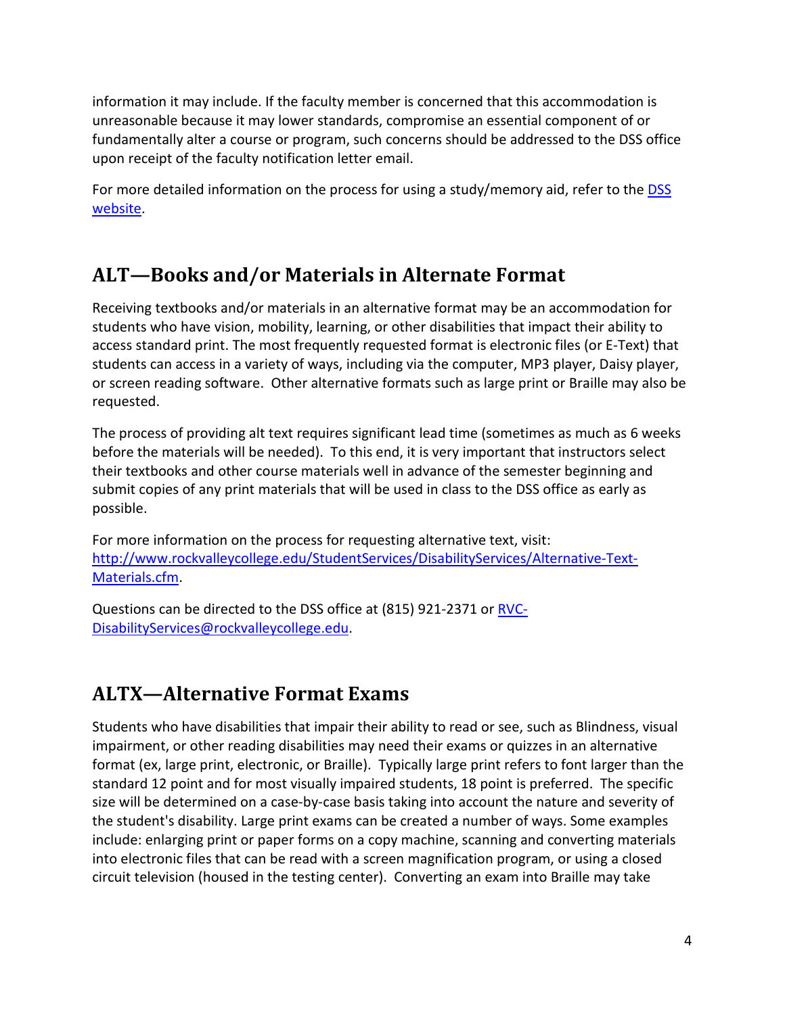information it may include. If the faculty member is concerned that this accommodation is unreasonable because it may lower standards, compromise an essential component of or fundamentally alter a course or program, such concerns should be addressed to the DSS office upon receipt of the faculty notification letter email.

For more detailed information on the process for using a study/memory aid, refer to the **DSS** [website.](https://author.rockvalleycollege.edu/StudentServices/DisabilityServices/Chapter-18-Memory-Aid-Guidelines.cfm)

# <span id="page-3-0"></span>**ALT—Books and/or Materials in Alternate Format**

Receiving textbooks and/or materials in an alternative format may be an accommodation for students who have vision, mobility, learning, or other disabilities that impact their ability to access standard print. The most frequently requested format is electronic files (or E-Text) that students can access in a variety of ways, including via the computer, MP3 player, Daisy player, or screen reading software. Other alternative formats such as large print or Braille may also be requested.

The process of providing alt text requires significant lead time (sometimes as much as 6 weeks before the materials will be needed). To this end, it is very important that instructors select their textbooks and other course materials well in advance of the semester beginning and submit copies of any print materials that will be used in class to the DSS office as early as possible.

For more information on the process for requesting alternative text, visit: [http://www.rockvalleycollege.edu/StudentServices/DisabilityServices/Alternative-Text-](http://www.rockvalleycollege.edu/StudentServices/DisabilityServices/Alternative-Text-Materials.cfm)[Materials.cfm.](http://www.rockvalleycollege.edu/StudentServices/DisabilityServices/Alternative-Text-Materials.cfm)

Questions can be directed to the DSS office at (815) 921-2371 or [RVC-](mailto:RVC-DisabilityServices@rockvalleycollege.edu)[DisabilityServices@rockvalleycollege.edu.](mailto:RVC-DisabilityServices@rockvalleycollege.edu)

# <span id="page-3-1"></span>**ALTX—Alternative Format Exams**

Students who have disabilities that impair their ability to read or see, such as Blindness, visual impairment, or other reading disabilities may need their exams or quizzes in an alternative format (ex, large print, electronic, or Braille). Typically large print refers to font larger than the standard 12 point and for most visually impaired students, 18 point is preferred. The specific size will be determined on a case-by-case basis taking into account the nature and severity of the student's disability. Large print exams can be created a number of ways. Some examples include: enlarging print or paper forms on a copy machine, scanning and converting materials into electronic files that can be read with a screen magnification program, or using a closed circuit television (housed in the testing center). Converting an exam into Braille may take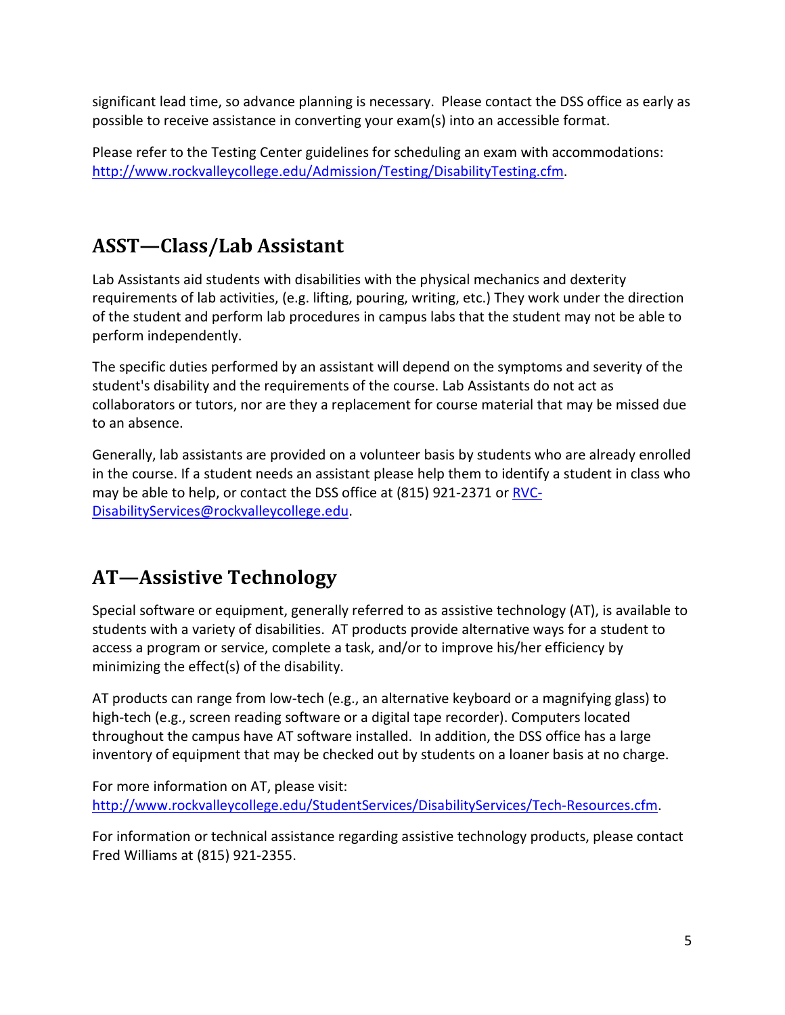significant lead time, so advance planning is necessary. Please contact the DSS office as early as possible to receive assistance in converting your exam(s) into an accessible format.

Please refer to the Testing Center guidelines for scheduling an exam with accommodations: [http://www.rockvalleycollege.edu/Admission/Testing/DisabilityTesting.cfm.](http://www.rockvalleycollege.edu/Admission/Testing/DisabilityTesting.cfm)

# <span id="page-4-0"></span>**ASST—Class/Lab Assistant**

Lab Assistants aid students with disabilities with the physical mechanics and dexterity requirements of lab activities, (e.g. lifting, pouring, writing, etc.) They work under the direction of the student and perform lab procedures in campus labs that the student may not be able to perform independently.

The specific duties performed by an assistant will depend on the symptoms and severity of the student's disability and the requirements of the course. Lab Assistants do not act as collaborators or tutors, nor are they a replacement for course material that may be missed due to an absence.

Generally, lab assistants are provided on a volunteer basis by students who are already enrolled in the course. If a student needs an assistant please help them to identify a student in class who may be able to help, or contact the DSS office at (815) 921-2371 or [RVC-](mailto:RVC-DisabilityServices@rockvalleycollege.edu)[DisabilityServices@rockvalleycollege.edu.](mailto:RVC-DisabilityServices@rockvalleycollege.edu)

# <span id="page-4-1"></span>**AT—Assistive Technology**

Special software or equipment, generally referred to as assistive technology (AT), is available to students with a variety of disabilities. AT products provide alternative ways for a student to access a program or service, complete a task, and/or to improve his/her efficiency by minimizing the effect(s) of the disability.

AT products can range from low-tech (e.g., an alternative keyboard or a magnifying glass) to high-tech (e.g., screen reading software or a digital tape recorder). Computers located throughout the campus have AT software installed. In addition, the DSS office has a large inventory of equipment that may be checked out by students on a loaner basis at no charge.

For more information on AT, please visit: [http://www.rockvalleycollege.edu/StudentServices/DisabilityServices/Tech-Resources.cfm.](http://www.rockvalleycollege.edu/StudentServices/DisabilityServices/Tech-Resources.cfm)

For information or technical assistance regarding assistive technology products, please contact Fred Williams at (815) 921-2355.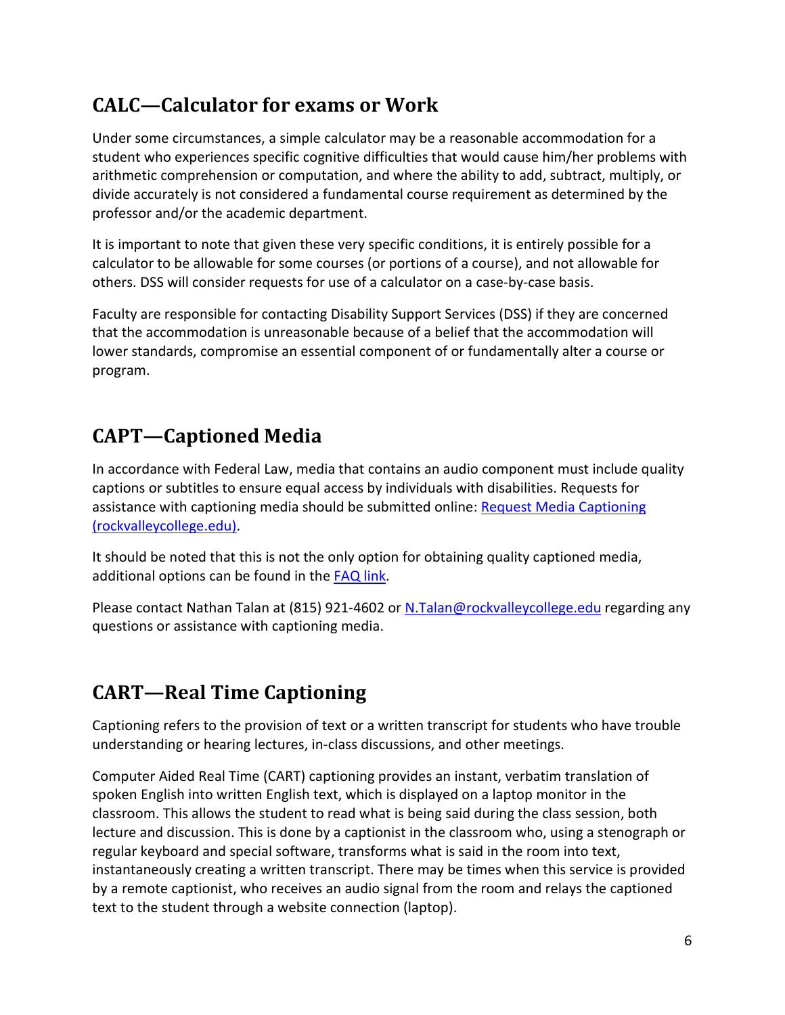# <span id="page-5-0"></span>**CALC—Calculator for exams or Work**

Under some circumstances, a simple calculator may be a reasonable accommodation for a student who experiences specific cognitive difficulties that would cause him/her problems with arithmetic comprehension or computation, and where the ability to add, subtract, multiply, or divide accurately is not considered a fundamental course requirement as determined by the professor and/or the academic department.

It is important to note that given these very specific conditions, it is entirely possible for a calculator to be allowable for some courses (or portions of a course), and not allowable for others. DSS will consider requests for use of a calculator on a case-by-case basis.

Faculty are responsible for contacting Disability Support Services (DSS) if they are concerned that the accommodation is unreasonable because of a belief that the accommodation will lower standards, compromise an essential component of or fundamentally alter a course or program.

# <span id="page-5-1"></span>**CAPT—Captioned Media**

In accordance with Federal Law, media that contains an audio component must include quality captions or subtitles to ensure equal access by individuals with disabilities. Requests for assistance with captioning media should be submitted online: [Request Media Captioning](https://www.rockvalleycollege.edu/Academics/Online/Requests-to-Caption-Videos.cfm)  [\(rockvalleycollege.edu\).](https://www.rockvalleycollege.edu/Academics/Online/Requests-to-Caption-Videos.cfm)

It should be noted that this is not the only option for obtaining quality captioned media, additional options can be found in the [FAQ link.](https://www.rockvalleycollege.edu/StudentServices/DisabilityServices/upload/FAQs-Media-Captioning.pdf)

Please contact Nathan Talan at (815) 921-4602 or [N.Talan@rockvalleycollege.edu](mailto:N.Talan@rockvalleycollege.edu) regarding any questions or assistance with captioning media.

# <span id="page-5-2"></span>**CART—Real Time Captioning**

Captioning refers to the provision of text or a written transcript for students who have trouble understanding or hearing lectures, in-class discussions, and other meetings.

Computer Aided Real Time (CART) captioning provides an instant, verbatim translation of spoken English into written English text, which is displayed on a laptop monitor in the classroom. This allows the student to read what is being said during the class session, both lecture and discussion. This is done by a captionist in the classroom who, using a stenograph or regular keyboard and special software, transforms what is said in the room into text, instantaneously creating a written transcript. There may be times when this service is provided by a remote captionist, who receives an audio signal from the room and relays the captioned text to the student through a website connection (laptop).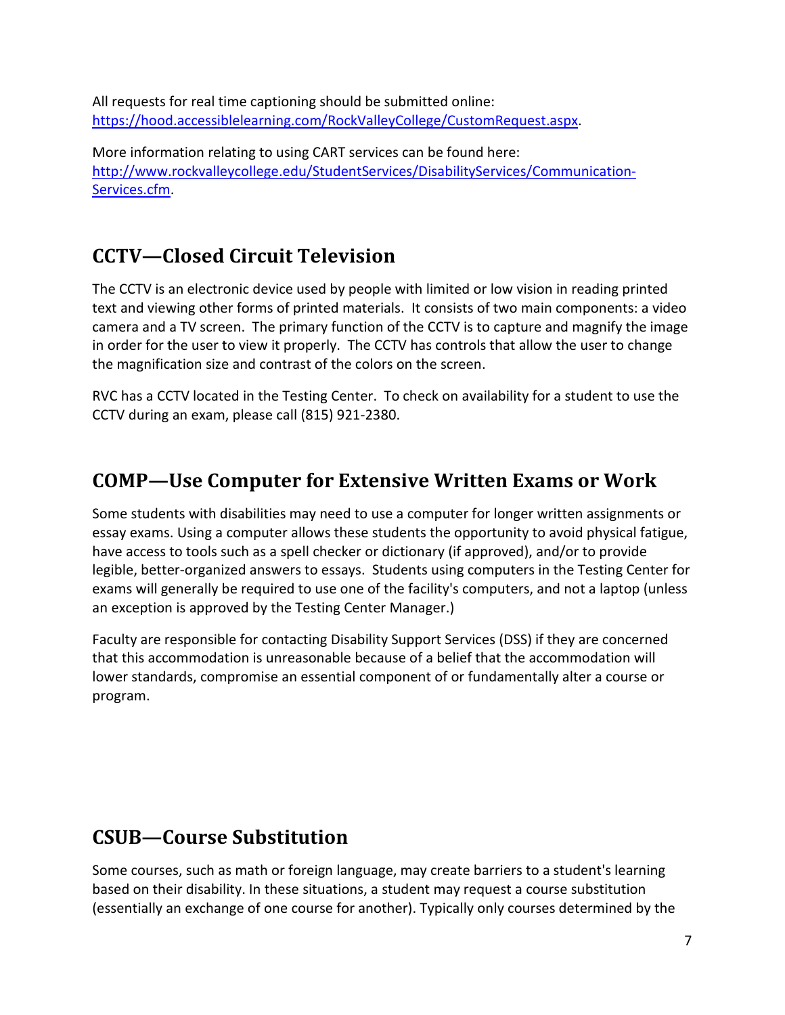All requests for real time captioning should be submitted online: [https://hood.accessiblelearning.com/RockValleyCollege/CustomRequest.aspx.](https://hood.accessiblelearning.com/RockValleyCollege/CustomRequest.aspx)

More information relating to using CART services can be found here: [http://www.rockvalleycollege.edu/StudentServices/DisabilityServices/Communication-](http://www.rockvalleycollege.edu/StudentServices/DisabilityServices/Communication-Services.cfm)[Services.cfm.](http://www.rockvalleycollege.edu/StudentServices/DisabilityServices/Communication-Services.cfm)

# <span id="page-6-0"></span>**CCTV—Closed Circuit Television**

The CCTV is an electronic device used by people with limited or low vision in reading printed text and viewing other forms of printed materials. It consists of two main components: a video camera and a TV screen. The primary function of the CCTV is to capture and magnify the image in order for the user to view it properly. The CCTV has controls that allow the user to change the magnification size and contrast of the colors on the screen.

RVC has a CCTV located in the Testing Center. To check on availability for a student to use the CCTV during an exam, please call (815) 921-2380.

# <span id="page-6-1"></span>**COMP—Use Computer for Extensive Written Exams or Work**

Some students with disabilities may need to use a computer for longer written assignments or essay exams. Using a computer allows these students the opportunity to avoid physical fatigue, have access to tools such as a spell checker or dictionary (if approved), and/or to provide legible, better-organized answers to essays. Students using computers in the Testing Center for exams will generally be required to use one of the facility's computers, and not a laptop (unless an exception is approved by the Testing Center Manager.)

Faculty are responsible for contacting Disability Support Services (DSS) if they are concerned that this accommodation is unreasonable because of a belief that the accommodation will lower standards, compromise an essential component of or fundamentally alter a course or program.

#### <span id="page-6-2"></span>**CSUB—Course Substitution**

Some courses, such as math or foreign language, may create barriers to a student's learning based on their disability. In these situations, a student may request a course substitution (essentially an exchange of one course for another). Typically only courses determined by the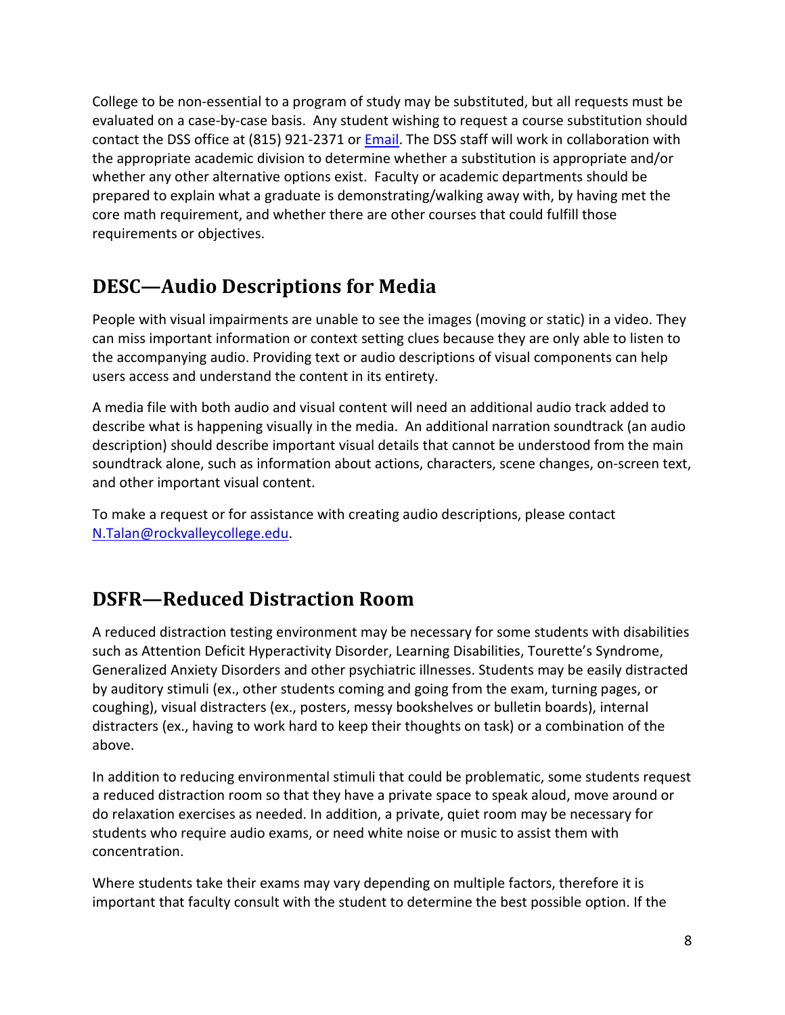College to be non-essential to a program of study may be substituted, but all requests must be evaluated on a case-by-case basis. Any student wishing to request a course substitution should contact the DSS office at (815) 921-2371 or [Email.](mailto:RVC-DisabilityServices@rockvalleycollege.edu) The DSS staff will work in collaboration with the appropriate academic division to determine whether a substitution is appropriate and/or whether any other alternative options exist. Faculty or academic departments should be prepared to explain what a graduate is demonstrating/walking away with, by having met the core math requirement, and whether there are other courses that could fulfill those requirements or objectives.

# <span id="page-7-0"></span>**DESC—Audio Descriptions for Media**

People with visual impairments are unable to see the images (moving or static) in a video. They can miss important information or context setting clues because they are only able to listen to the accompanying audio. Providing text or [audio descriptions](https://www.pearson.com/accessibility-guidelines/glossary.html#a) of visual components can help users access and understand the content in its entirety.

A media file with both audio and visual content will need an additional audio track added to describe what is happening visually in the media. An additional narration soundtrack (an audio description) should describe important visual details that cannot be understood from the main soundtrack alone, such as information about actions, characters, scene changes, on-screen text, and other important visual content.

To make a request or for assistance with creating audio descriptions, please contact [N.Talan@rockvalleycollege.edu.](mailto:N.Talan@rockvalleycollege.edu)

# <span id="page-7-1"></span>**DSFR—Reduced Distraction Room**

A reduced distraction testing environment may be necessary for some students with disabilities such as Attention Deficit Hyperactivity Disorder, Learning Disabilities, Tourette's Syndrome, Generalized Anxiety Disorders and other psychiatric illnesses. Students may be easily distracted by auditory stimuli (ex., other students coming and going from the exam, turning pages, or coughing), visual distracters (ex., posters, messy bookshelves or bulletin boards), internal distracters (ex., having to work hard to keep their thoughts on task) or a combination of the above.

In addition to reducing environmental stimuli that could be problematic, some students request a reduced distraction room so that they have a private space to speak aloud, move around or do relaxation exercises as needed. In addition, a private, quiet room may be necessary for students who require audio exams, or need white noise or music to assist them with concentration.

Where students take their exams may vary depending on multiple factors, therefore it is important that faculty consult with the student to determine the best possible option. If the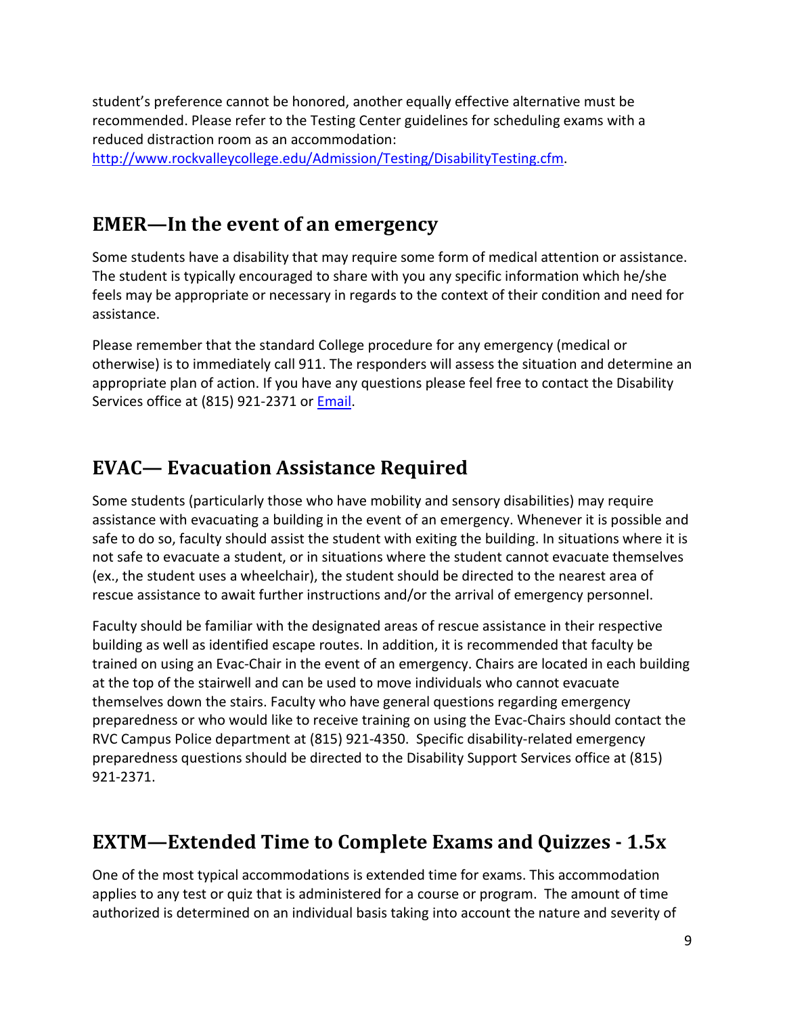student's preference cannot be honored, another equally effective alternative must be recommended. Please refer to the Testing Center guidelines for scheduling exams with a reduced distraction room as an accommodation:

[http://www.rockvalleycollege.edu/Admission/Testing/DisabilityTesting.cfm.](http://www.rockvalleycollege.edu/Admission/Testing/DisabilityTesting.cfm)

#### <span id="page-8-0"></span>**EMER—In the event of an emergency**

Some students have a disability that may require some form of medical attention or assistance. The student is typically encouraged to share with you any specific information which he/she feels may be appropriate or necessary in regards to the context of their condition and need for assistance.

Please remember that the standard College procedure for any emergency (medical or otherwise) is to immediately call 911. The responders will assess the situation and determine an appropriate plan of action. If you have any questions please feel free to contact the Disability Services office at (815) 921-2371 or [Email.](mailto:RVC-DisabilityServices@rockvalleycollege.edu.)

#### <span id="page-8-1"></span>**EVAC— Evacuation Assistance Required**

Some students (particularly those who have mobility and sensory disabilities) may require assistance with evacuating a building in the event of an emergency. Whenever it is possible and safe to do so, faculty should assist the student with exiting the building. In situations where it is not safe to evacuate a student, or in situations where the student cannot evacuate themselves (ex., the student uses a wheelchair), the student should be directed to the nearest area of rescue assistance to await further instructions and/or the arrival of emergency personnel.

Faculty should be familiar with the designated areas of rescue assistance in their respective building as well as identified escape routes. In addition, it is recommended that faculty be trained on using an Evac-Chair in the event of an emergency. Chairs are located in each building at the top of the stairwell and can be used to move individuals who cannot evacuate themselves down the stairs. Faculty who have general questions regarding emergency preparedness or who would like to receive training on using the Evac-Chairs should contact the RVC Campus Police department at (815) 921-4350. Specific disability-related emergency preparedness questions should be directed to the Disability Support Services office at (815) 921-2371.

# <span id="page-8-2"></span>**EXTM—Extended Time to Complete Exams and Quizzes - 1.5x**

One of the most typical accommodations is extended time for exams. This accommodation applies to any test or quiz that is administered for a course or program. The amount of time authorized is determined on an individual basis taking into account the nature and severity of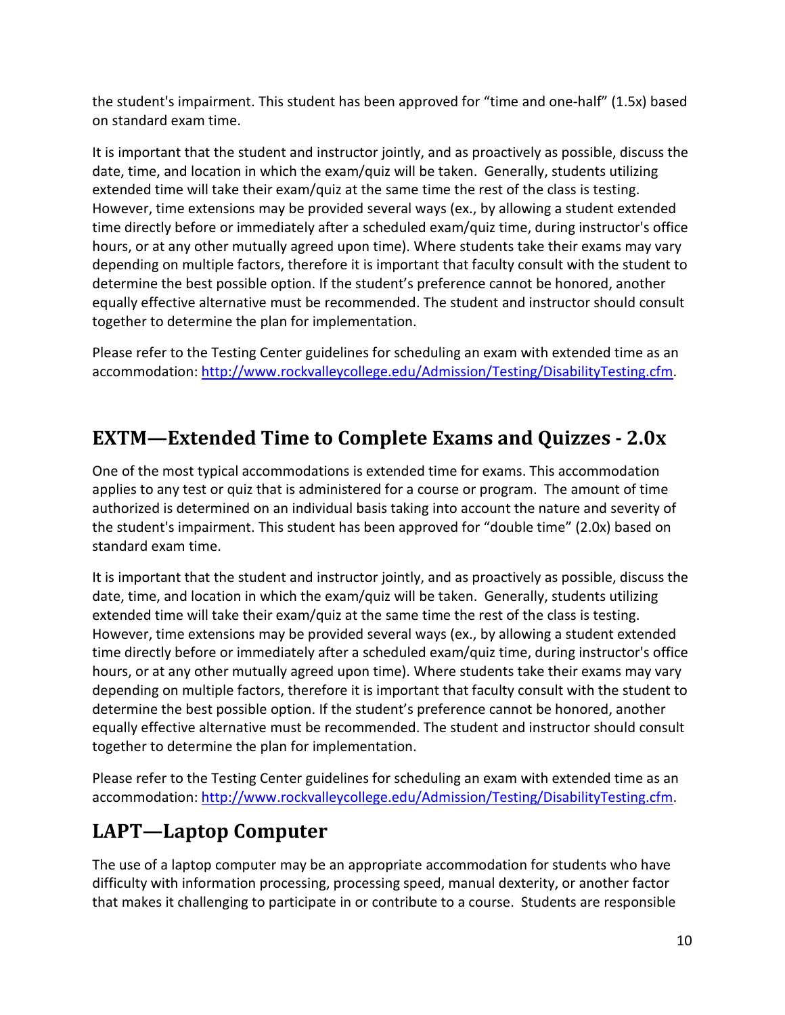the student's impairment. This student has been approved for "time and one-half" (1.5x) based on standard exam time.

It is important that the student and instructor jointly, and as proactively as possible, discuss the date, time, and location in which the exam/quiz will be taken. Generally, students utilizing extended time will take their exam/quiz at the same time the rest of the class is testing. However, time extensions may be provided several ways (ex., by allowing a student extended time directly before or immediately after a scheduled exam/quiz time, during instructor's office hours, or at any other mutually agreed upon time). Where students take their exams may vary depending on multiple factors, therefore it is important that faculty consult with the student to determine the best possible option. If the student's preference cannot be honored, another equally effective alternative must be recommended. The student and instructor should consult together to determine the plan for implementation.

Please refer to the Testing Center guidelines for scheduling an exam with extended time as an accommodation: [http://www.rockvalleycollege.edu/Admission/Testing/DisabilityTesting.cfm.](http://www.rockvalleycollege.edu/Admission/Testing/DisabilityTesting.cfm)

# <span id="page-9-0"></span>**EXTM—Extended Time to Complete Exams and Quizzes - 2.0x**

One of the most typical accommodations is extended time for exams. This accommodation applies to any test or quiz that is administered for a course or program. The amount of time authorized is determined on an individual basis taking into account the nature and severity of the student's impairment. This student has been approved for "double time" (2.0x) based on standard exam time.

It is important that the student and instructor jointly, and as proactively as possible, discuss the date, time, and location in which the exam/quiz will be taken. Generally, students utilizing extended time will take their exam/quiz at the same time the rest of the class is testing. However, time extensions may be provided several ways (ex., by allowing a student extended time directly before or immediately after a scheduled exam/quiz time, during instructor's office hours, or at any other mutually agreed upon time). Where students take their exams may vary depending on multiple factors, therefore it is important that faculty consult with the student to determine the best possible option. If the student's preference cannot be honored, another equally effective alternative must be recommended. The student and instructor should consult together to determine the plan for implementation.

Please refer to the Testing Center guidelines for scheduling an exam with extended time as an accommodation: [http://www.rockvalleycollege.edu/Admission/Testing/DisabilityTesting.cfm.](http://www.rockvalleycollege.edu/Admission/Testing/DisabilityTesting.cfm)

# <span id="page-9-1"></span>**LAPT—Laptop Computer**

The use of a laptop computer may be an appropriate accommodation for students who have difficulty with information processing, processing speed, manual dexterity, or another factor that makes it challenging to participate in or contribute to a course. Students are responsible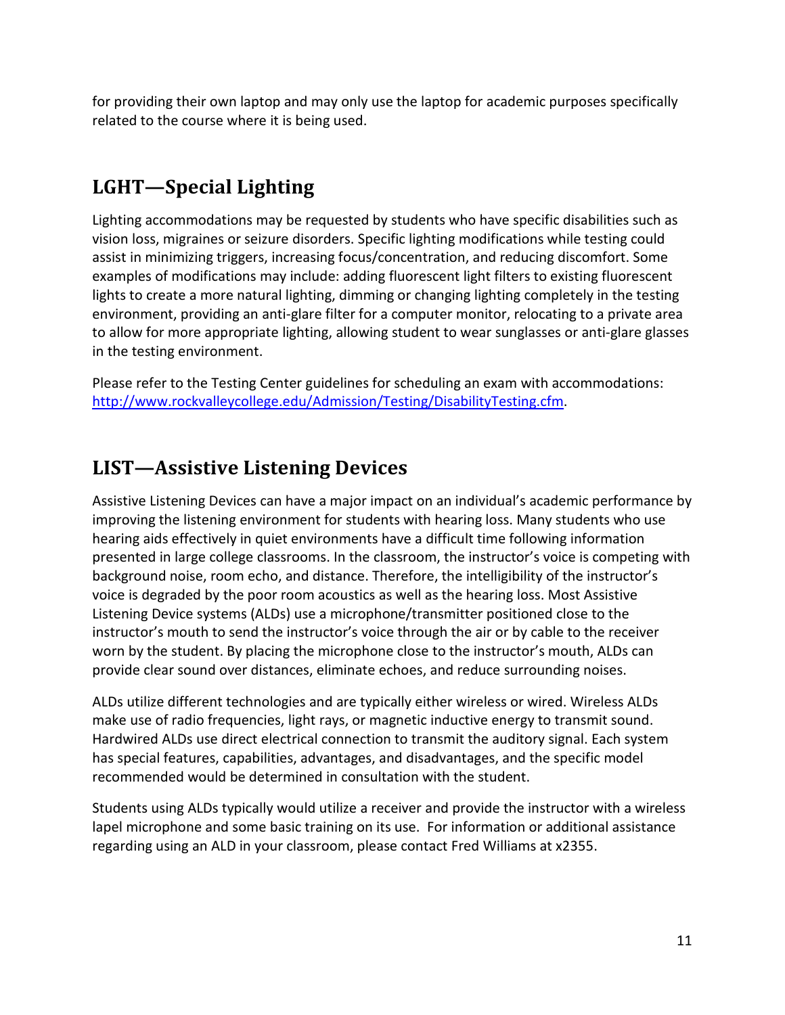for providing their own laptop and may only use the laptop for academic purposes specifically related to the course where it is being used.

# <span id="page-10-0"></span>**LGHT—Special Lighting**

Lighting accommodations may be requested by students who have specific disabilities such as vision loss, migraines or seizure disorders. Specific lighting modifications while testing could assist in minimizing triggers, increasing focus/concentration, and reducing discomfort. Some examples of modifications may include: adding fluorescent light filters to existing fluorescent lights to create a more natural lighting, dimming or changing lighting completely in the testing environment, providing an anti-glare filter for a computer monitor, relocating to a private area to allow for more appropriate lighting, allowing student to wear sunglasses or anti-glare glasses in the testing environment.

Please refer to the Testing Center guidelines for scheduling an exam with accommodations: [http://www.rockvalleycollege.edu/Admission/Testing/DisabilityTesting.cfm.](http://www.rockvalleycollege.edu/Admission/Testing/DisabilityTesting.cfm)

#### <span id="page-10-1"></span>**LIST—Assistive Listening Devices**

Assistive Listening Devices can have a major impact on an individual's academic performance by improving the listening environment for students with hearing loss. Many students who use hearing aids effectively in quiet environments have a difficult time following information presented in large college classrooms. In the classroom, the instructor's voice is competing with background noise, room echo, and distance. Therefore, the intelligibility of the instructor's voice is degraded by the poor room acoustics as well as the hearing loss. Most Assistive Listening Device systems (ALDs) use a microphone/transmitter positioned close to the instructor's mouth to send the instructor's voice through the air or by cable to the receiver worn by the student. By placing the microphone close to the instructor's mouth, ALDs can provide clear sound over distances, eliminate echoes, and reduce surrounding noises.

ALDs utilize different technologies and are typically either wireless or wired. Wireless ALDs make use of radio frequencies, light rays, or magnetic inductive energy to transmit sound. Hardwired ALDs use direct electrical connection to transmit the auditory signal. Each system has special features, capabilities, advantages, and disadvantages, and the specific model recommended would be determined in consultation with the student.

Students using ALDs typically would utilize a receiver and provide the instructor with a wireless lapel microphone and some basic training on its use. For information or additional assistance regarding using an ALD in your classroom, please contact Fred Williams at x2355.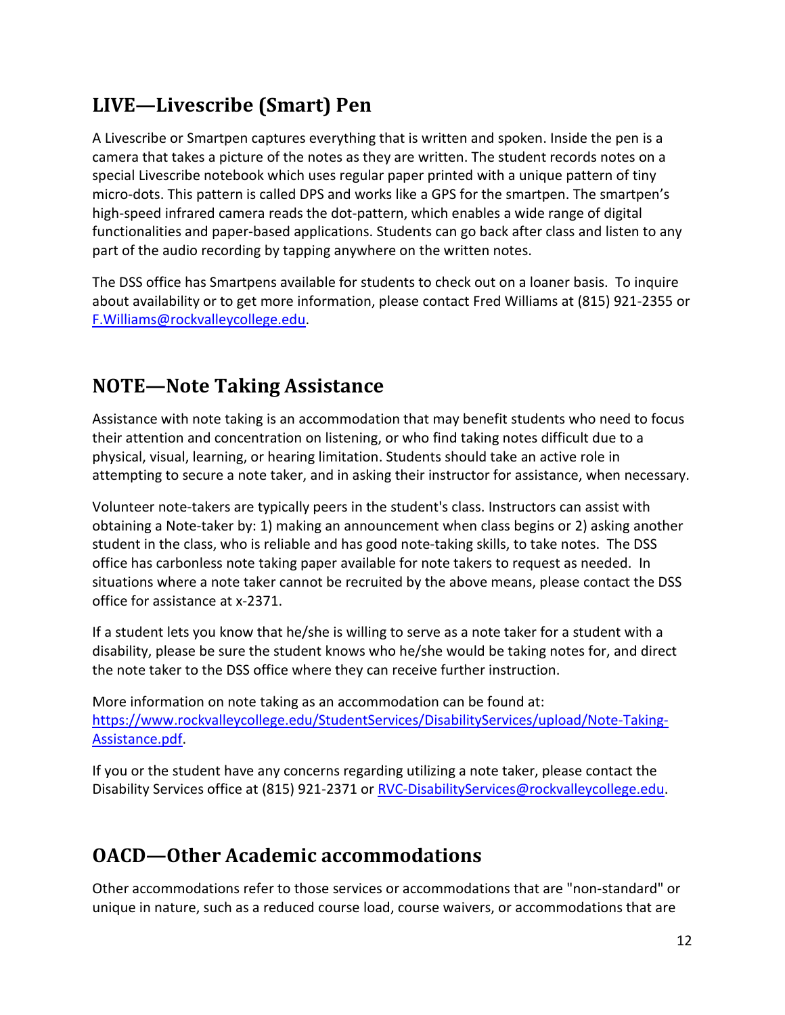# <span id="page-11-0"></span>**LIVE—Livescribe (Smart) Pen**

A Livescribe or Smartpen captures everything that is written and spoken. Inside the pen is a camera that takes a picture of the notes as they are written. The student records notes on a special Livescribe notebook which uses regular paper printed with a unique pattern of tiny micro-dots. This pattern is called DPS and works like a GPS for the smartpen. The smartpen's high-speed infrared camera reads the dot-pattern, which enables a wide range of digital functionalities and paper-based applications. Students can go back after class and listen to any part of the audio recording by tapping anywhere on the written notes.

The DSS office has Smartpens available for students to check out on a loaner basis. To inquire about availability or to get more information, please contact Fred Williams at (815) 921-2355 or [F.Williams@rockvalleycollege.edu.](mailto:F.Williams@rockvalleycollege.edu)

# <span id="page-11-1"></span>**NOTE—Note Taking Assistance**

Assistance with note taking is an accommodation that may benefit students who need to focus their attention and concentration on listening, or who find taking notes difficult due to a physical, visual, learning, or hearing limitation. Students should take an active role in attempting to secure a note taker, and in asking their instructor for assistance, when necessary.

Volunteer note-takers are typically peers in the student's class. Instructors can assist with obtaining a Note-taker by: 1) making an announcement when class begins or 2) asking another student in the class, who is reliable and has good note-taking skills, to take notes. The DSS office has carbonless note taking paper available for note takers to request as needed. In situations where a note taker cannot be recruited by the above means, please contact the DSS office for assistance at x-2371.

If a student lets you know that he/she is willing to serve as a note taker for a student with a disability, please be sure the student knows who he/she would be taking notes for, and direct the note taker to the DSS office where they can receive further instruction.

More information on note taking as an accommodation can be found at: https://www.rockvalleycollege.edu/StudentServices/DisabilityServices/upload/Note-Taking-Assistance.pdf.

If you or the student have any concerns regarding utilizing a note taker, please contact the Disability Services office at (815) 921-2371 o[r RVC-DisabilityServices@rockvalleycollege.edu.](mailto:RVC-DisabilityServices@rockvalleycollege.edu)

# <span id="page-11-2"></span>**OACD—Other Academic accommodations**

Other accommodations refer to those services or accommodations that are "non-standard" or unique in nature, such as a reduced course load, course waivers, or accommodations that are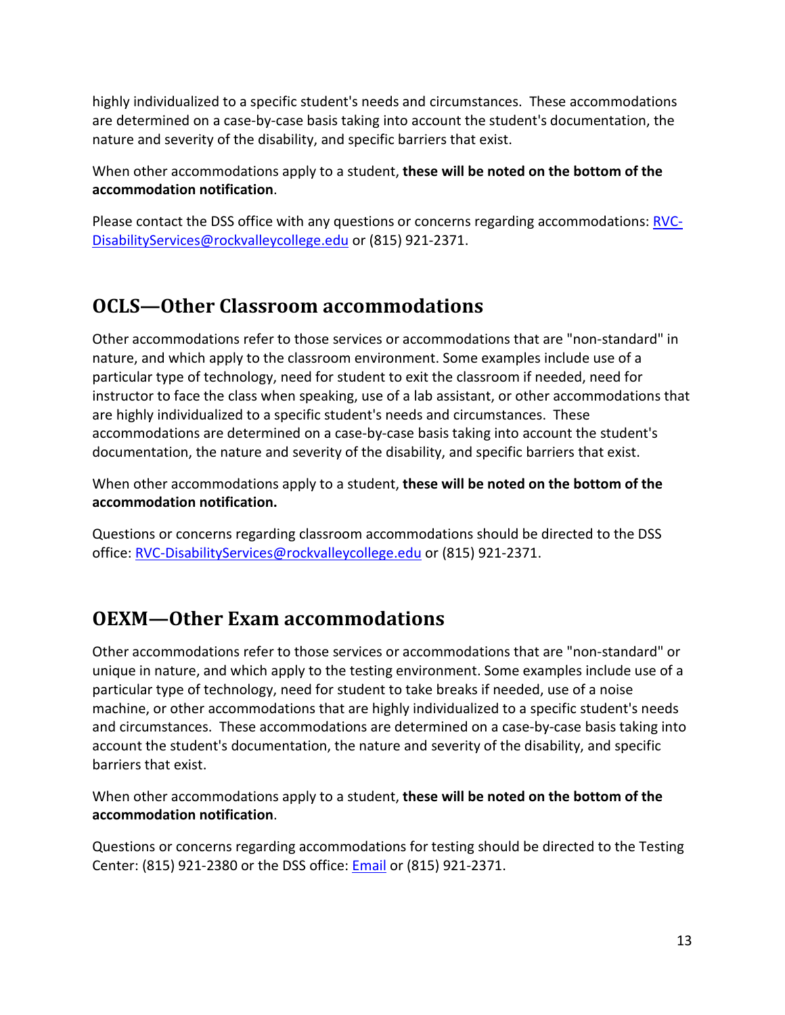highly individualized to a specific student's needs and circumstances. These accommodations are determined on a case-by-case basis taking into account the student's documentation, the nature and severity of the disability, and specific barriers that exist.

When other accommodations apply to a student, **these will be noted on the bottom of the accommodation notification**.

Please contact the DSS office with any questions or concerns regarding accommodations: [RVC-](mailto:RVC-DisabilityServices@rockvalleycollege.edu)[DisabilityServices@rockvalleycollege.edu](mailto:RVC-DisabilityServices@rockvalleycollege.edu) or (815) 921-2371.

# <span id="page-12-0"></span>**OCLS—Other Classroom accommodations**

Other accommodations refer to those services or accommodations that are "non-standard" in nature, and which apply to the classroom environment. Some examples include use of a particular type of technology, need for student to exit the classroom if needed, need for instructor to face the class when speaking, use of a lab assistant, or other accommodations that are highly individualized to a specific student's needs and circumstances. These accommodations are determined on a case-by-case basis taking into account the student's documentation, the nature and severity of the disability, and specific barriers that exist.

When other accommodations apply to a student, **these will be noted on the bottom of the accommodation notification.** 

Questions or concerns regarding classroom accommodations should be directed to the DSS office: [RVC-DisabilityServices@rockvalleycollege.edu](mailto:RVC-DisabilityServices@rockvalleycollege.edu) or (815) 921-2371.

#### <span id="page-12-1"></span>**OEXM—Other Exam accommodations**

Other accommodations refer to those services or accommodations that are "non-standard" or unique in nature, and which apply to the testing environment. Some examples include use of a particular type of technology, need for student to take breaks if needed, use of a noise machine, or other accommodations that are highly individualized to a specific student's needs and circumstances. These accommodations are determined on a case-by-case basis taking into account the student's documentation, the nature and severity of the disability, and specific barriers that exist.

When other accommodations apply to a student, **these will be noted on the bottom of the accommodation notification**.

Questions or concerns regarding accommodations for testing should be directed to the Testing Center: (815) 921-2380 or the DSS office[: Email](mailto:RVC-DisabilityServices@rockvalleycollege.edu) or (815) 921-2371.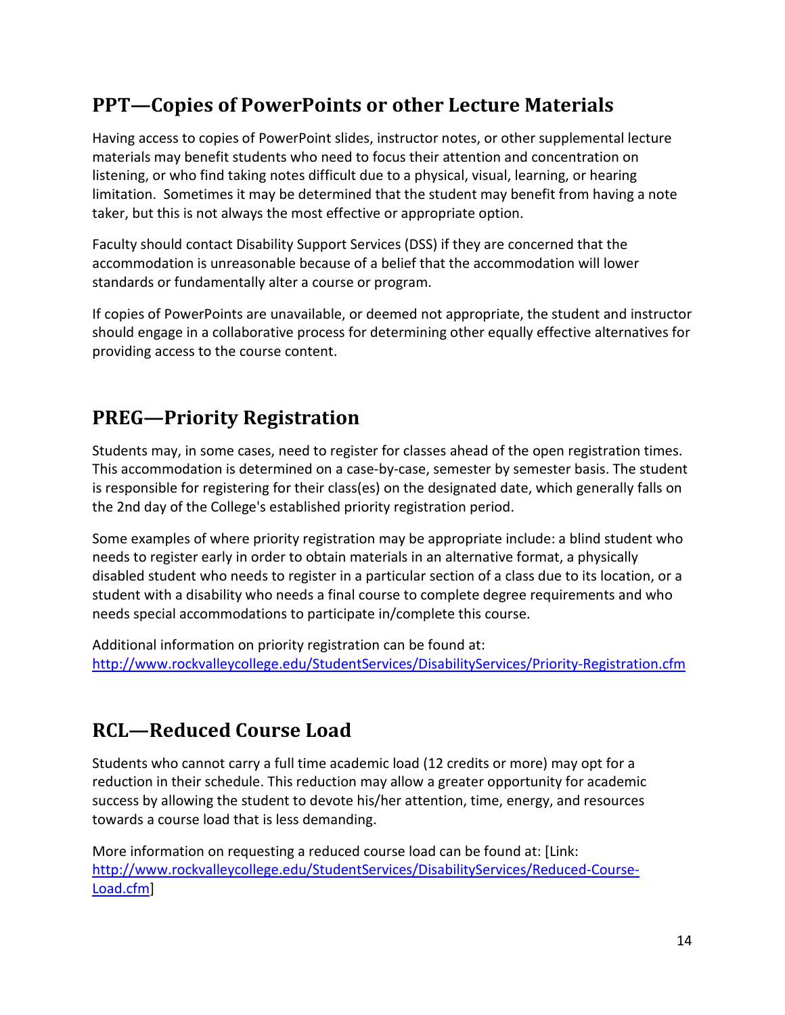# <span id="page-13-0"></span>**PPT—Copies of PowerPoints or other Lecture Materials**

Having access to copies of PowerPoint slides, instructor notes, or other supplemental lecture materials may benefit students who need to focus their attention and concentration on listening, or who find taking notes difficult due to a physical, visual, learning, or hearing limitation. Sometimes it may be determined that the student may benefit from having a note taker, but this is not always the most effective or appropriate option.

Faculty should contact Disability Support Services (DSS) if they are concerned that the accommodation is unreasonable because of a belief that the accommodation will lower standards or fundamentally alter a course or program.

If copies of PowerPoints are unavailable, or deemed not appropriate, the student and instructor should engage in a collaborative process for determining other equally effective alternatives for providing access to the course content.

# <span id="page-13-1"></span>**PREG—Priority Registration**

Students may, in some cases, need to register for classes ahead of the open registration times. This accommodation is determined on a case-by-case, semester by semester basis. The student is responsible for registering for their class(es) on the designated date, which generally falls on the 2nd day of the College's established priority registration period.

Some examples of where priority registration may be appropriate include: a blind student who needs to register early in order to obtain materials in an alternative format, a physically disabled student who needs to register in a particular section of a class due to its location, or a student with a disability who needs a final course to complete degree requirements and who needs special accommodations to participate in/complete this course.

Additional information on priority registration can be found at: <http://www.rockvalleycollege.edu/StudentServices/DisabilityServices/Priority-Registration.cfm>

# <span id="page-13-2"></span>**RCL—Reduced Course Load**

Students who cannot carry a full time academic load (12 credits or more) may opt for a reduction in their schedule. This reduction may allow a greater opportunity for academic success by allowing the student to devote his/her attention, time, energy, and resources towards a course load that is less demanding.

More information on requesting a reduced course load can be found at: [Link: [http://www.rockvalleycollege.edu/StudentServices/DisabilityServices/Reduced-Course-](http://www.rockvalleycollege.edu/StudentServices/DisabilityServices/Reduced-Course-Load.cfm)[Load.cfm\]](http://www.rockvalleycollege.edu/StudentServices/DisabilityServices/Reduced-Course-Load.cfm)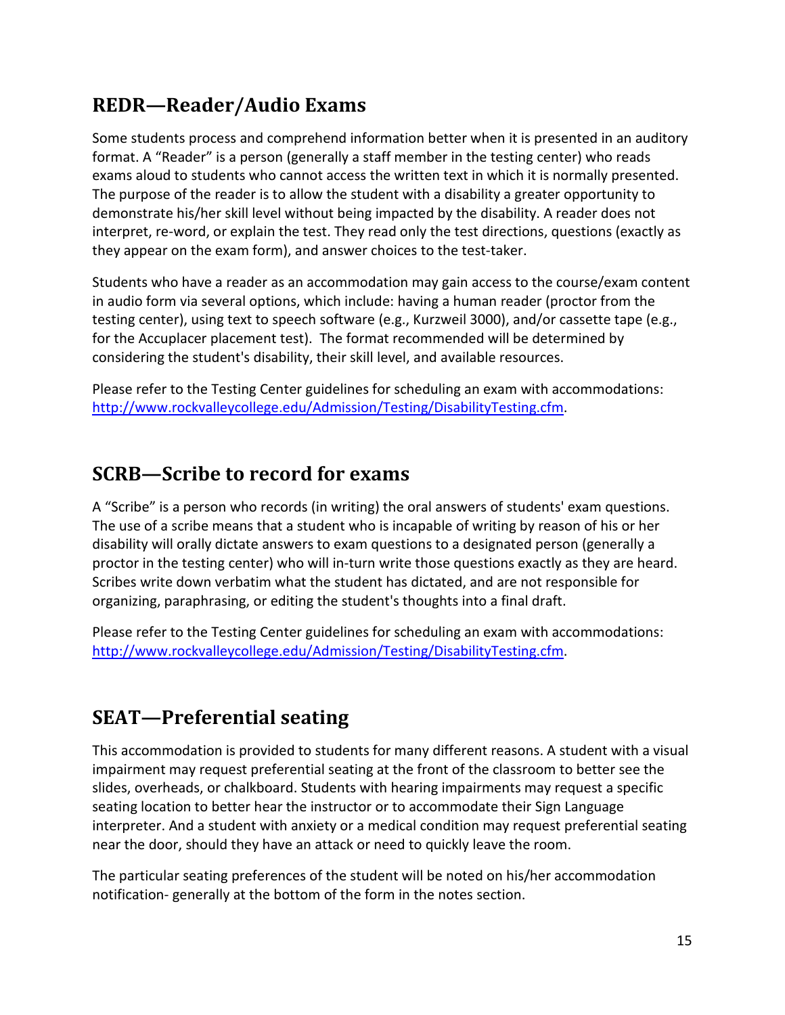### <span id="page-14-0"></span>**REDR—Reader/Audio Exams**

Some students process and comprehend information better when it is presented in an auditory format. A "Reader" is a person (generally a staff member in the testing center) who reads exams aloud to students who cannot access the written text in which it is normally presented. The purpose of the reader is to allow the student with a disability a greater opportunity to demonstrate his/her skill level without being impacted by the disability. A reader does not interpret, re-word, or explain the test. They read only the test directions, questions (exactly as they appear on the exam form), and answer choices to the test-taker.

Students who have a reader as an accommodation may gain access to the course/exam content in audio form via several options, which include: having a human reader (proctor from the testing center), using text to speech software (e.g., Kurzweil 3000), and/or cassette tape (e.g., for the Accuplacer placement test). The format recommended will be determined by considering the student's disability, their skill level, and available resources.

Please refer to the Testing Center guidelines for scheduling an exam with accommodations: [http://www.rockvalleycollege.edu/Admission/Testing/DisabilityTesting.cfm.](http://www.rockvalleycollege.edu/Admission/Testing/DisabilityTesting.cfm)

#### <span id="page-14-1"></span>**SCRB—Scribe to record for exams**

A "Scribe" is a person who records (in writing) the oral answers of students' exam questions. The use of a scribe means that a student who is incapable of writing by reason of his or her disability will orally dictate answers to exam questions to a designated person (generally a proctor in the testing center) who will in-turn write those questions exactly as they are heard. Scribes write down verbatim what the student has dictated, and are not responsible for organizing, paraphrasing, or editing the student's thoughts into a final draft.

Please refer to the Testing Center guidelines for scheduling an exam with accommodations: [http://www.rockvalleycollege.edu/Admission/Testing/DisabilityTesting.cfm.](http://www.rockvalleycollege.edu/Admission/Testing/DisabilityTesting.cfm)

# <span id="page-14-2"></span>**SEAT—Preferential seating**

This accommodation is provided to students for many different reasons. A student with a visual impairment may request preferential seating at the front of the classroom to better see the slides, overheads, or chalkboard. Students with hearing impairments may request a specific seating location to better hear the instructor or to accommodate their Sign Language interpreter. And a student with anxiety or a medical condition may request preferential seating near the door, should they have an attack or need to quickly leave the room.

The particular seating preferences of the student will be noted on his/her accommodation notification- generally at the bottom of the form in the notes section.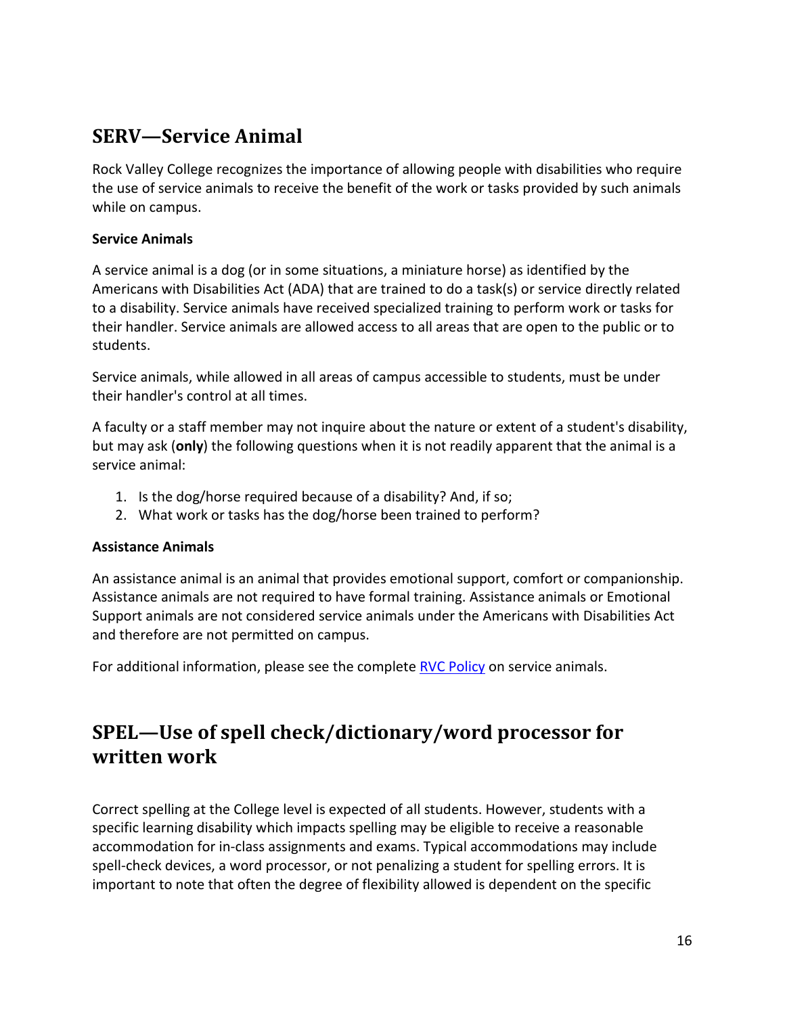#### <span id="page-15-0"></span>**SERV—Service Animal**

Rock Valley College recognizes the importance of allowing people with disabilities who require the use of service animals to receive the benefit of the work or tasks provided by such animals while on campus.

#### **Service Animals**

A service animal is a dog (or in some situations, a miniature horse) as identified by the Americans with Disabilities Act (ADA) that are trained to do a task(s) or service directly related to a disability. Service animals have received specialized training to perform work or tasks for their handler. Service animals are allowed access to all areas that are open to the public or to students.

Service animals, while allowed in all areas of campus accessible to students, must be under their handler's control at all times.

A faculty or a staff member may not inquire about the nature or extent of a student's disability, but may ask (**only**) the following questions when it is not readily apparent that the animal is a service animal:

- 1. Is the dog/horse required because of a disability? And, if so;
- 2. What work or tasks has the dog/horse been trained to perform?

#### **Assistance Animals**

An assistance animal is an animal that provides emotional support, comfort or companionship. Assistance animals are not required to have formal training. Assistance animals or Emotional Support animals are not considered service animals under the Americans with Disabilities Act and therefore are not permitted on campus.

For additional information, please see the complete [RVC Policy](https://www.rockvalleycollege.edu/StudentServices/DisabilityServices/upload/Service-Animals.pdf) on service animals.

#### <span id="page-15-1"></span>**SPEL—Use of spell check/dictionary/word processor for written work**

Correct spelling at the College level is expected of all students. However, students with a specific learning disability which impacts spelling may be eligible to receive a reasonable accommodation for in-class assignments and exams. Typical accommodations may include spell-check devices, a word processor, or not penalizing a student for spelling errors. It is important to note that often the degree of flexibility allowed is dependent on the specific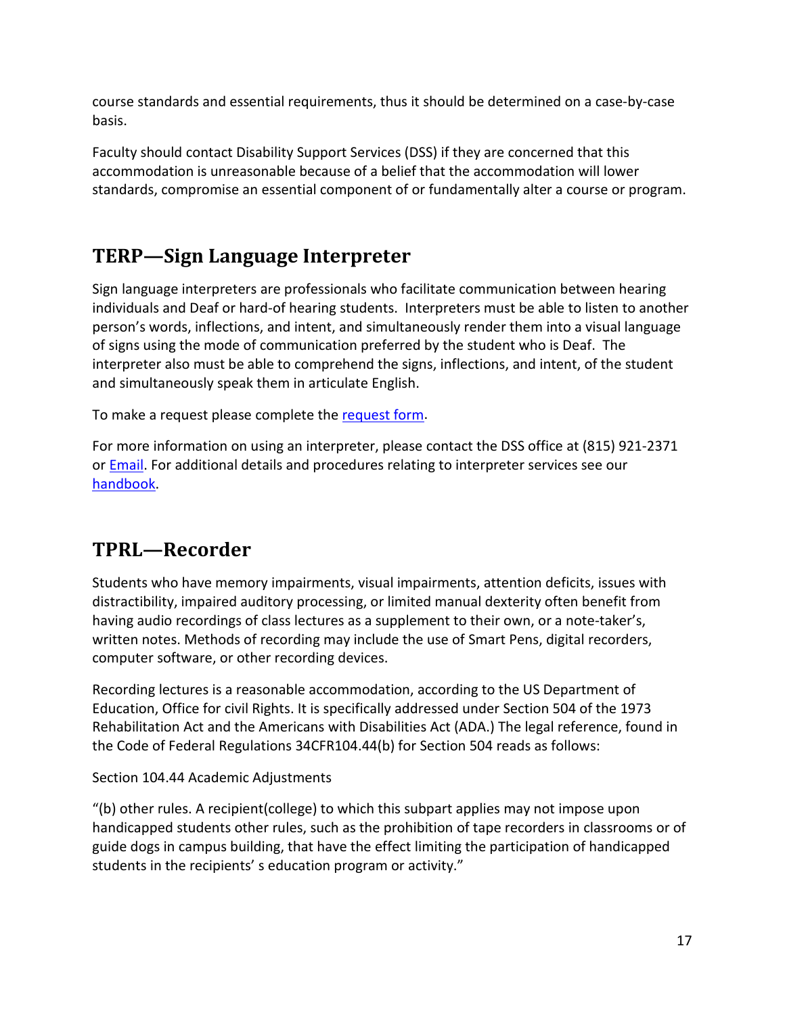course standards and essential requirements, thus it should be determined on a case-by-case basis.

Faculty should contact Disability Support Services (DSS) if they are concerned that this accommodation is unreasonable because of a belief that the accommodation will lower standards, compromise an essential component of or fundamentally alter a course or program.

# <span id="page-16-0"></span>**TERP—Sign Language Interpreter**

Sign language interpreters are professionals who facilitate communication between hearing individuals and Deaf or hard-of hearing students. Interpreters must be able to listen to another person's words, inflections, and intent, and simultaneously render them into a visual language of signs using the mode of communication preferred by the student who is Deaf. The interpreter also must be able to comprehend the signs, inflections, and intent, of the student and simultaneously speak them in articulate English.

To make a request please complete the [request form.](https://hood.accessiblelearning.com/RockValleyCollege/CustomRequest.aspx)

For more information on using an interpreter, please contact the DSS office at (815) 921-2371 or **Email**. For additional details and procedures relating to interpreter services see our [handbook.](http://www.rockvalleycollege.edu/StudentServices/DisabilityServices/Interpreting-and-Captioning.cfm)

# <span id="page-16-1"></span>**TPRL—Recorder**

Students who have memory impairments, visual impairments, attention deficits, issues with distractibility, impaired auditory processing, or limited manual dexterity often benefit from having audio recordings of class lectures as a supplement to their own, or a note-taker's, written notes. Methods of recording may include the use of Smart Pens, digital recorders, computer software, or other recording devices.

Recording lectures is a reasonable accommodation, according to the US Department of Education, Office for civil Rights. It is specifically addressed under Section 504 of the 1973 Rehabilitation Act and the Americans with Disabilities Act (ADA.) The legal reference, found in the Code of Federal Regulations 34CFR104.44(b) for Section 504 reads as follows:

Section 104.44 Academic Adjustments

"(b) other rules. A recipient(college) to which this subpart applies may not impose upon handicapped students other rules, such as the prohibition of tape recorders in classrooms or of guide dogs in campus building, that have the effect limiting the participation of handicapped students in the recipients' s education program or activity."